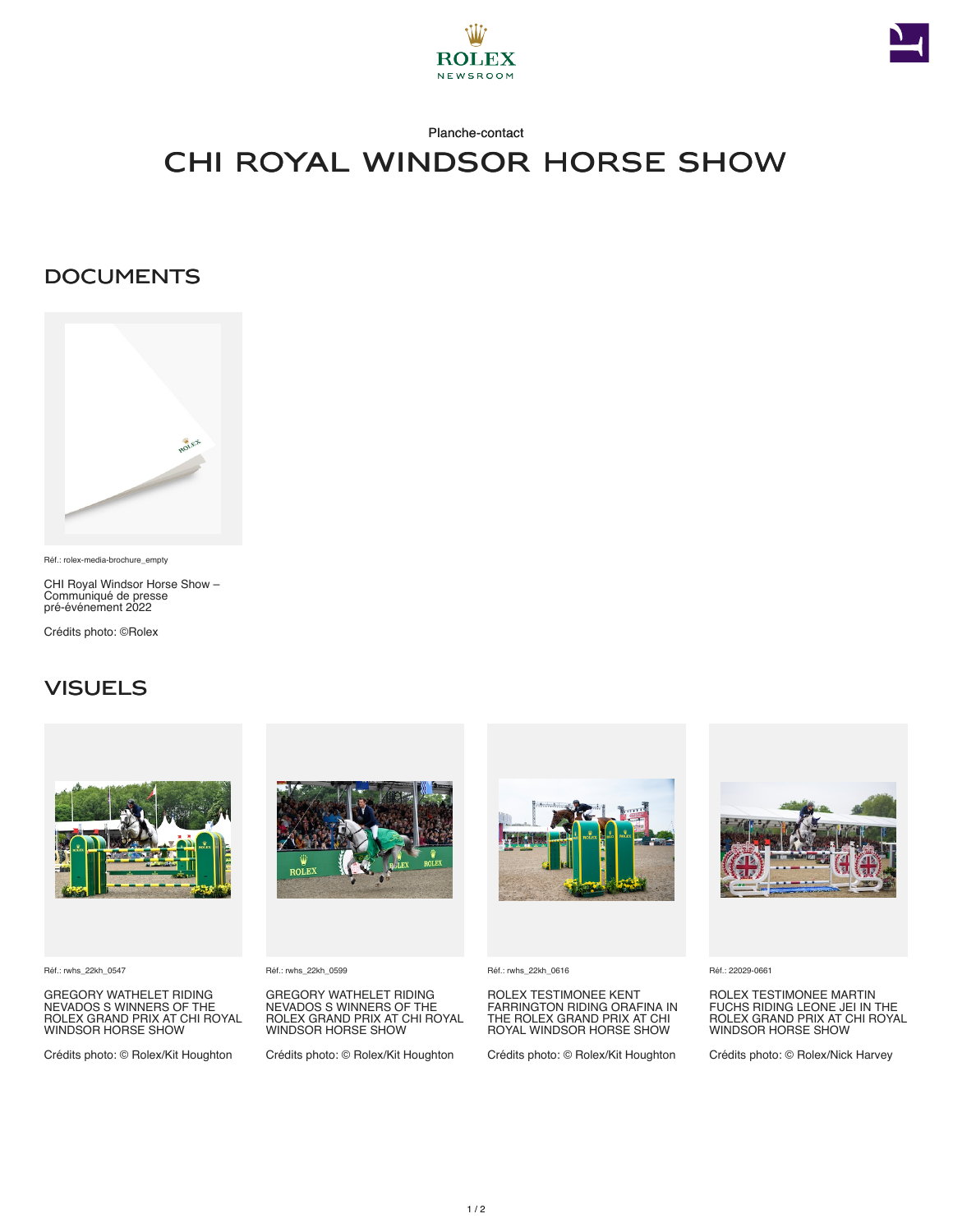



### Planche-contact

# CHI Royal Windsor Horse Show

## **DOCUMENTS**



Réf.: rolex-media-brochure\_empty

CHI Royal Windsor Horse Show – Communiqué de presse pré‑événement 2022

Crédits photo: ©Rolex

## **VISUELS**



Réf.: rwhs\_22kh\_0547

GREGORY WATHELET RIDING NEVADOS S WINNERS OF THE ROLEX GRAND PRIX AT CHI ROYAL WINDSOR HORSE SHOW

Crédits photo: © Rolex/Kit Houghton



Réf.: rwhs\_22kh\_0599

GREGORY WATHELET RIDING NEVADOS S WINNERS OF THE ROLEX GRAND PRIX AT CHI ROYAL WINDSOR HORSE SHOW

Crédits photo: © Rolex/Kit Houghton



Réf.: rwhs\_22kh\_0616

ROLEX TESTIMONEE KENT FARRINGTON RIDING ORAFINA IN THE ROLEX GRAND PRIX AT CHI ROYAL WINDSOR HORSE SHOW

Crédits photo: © Rolex/Kit Houghton



Réf.: 22029-0661

ROLEX TESTIMONEE MARTIN FUCHS RIDING LEONE JEI IN THE ROLEX GRAND PRIX AT CHI ROYAL WINDSOR HORSE SHOW

Crédits photo: © Rolex/Nick Harvey